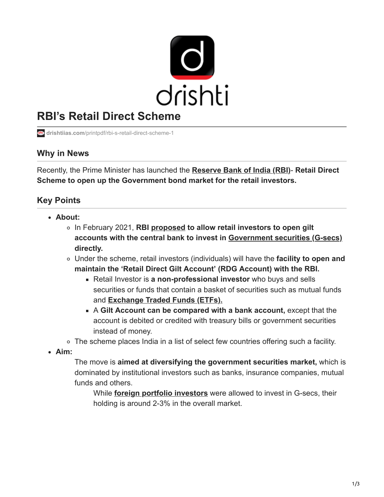

# **RBI's Retail Direct Scheme**

**drishtiias.com**[/printpdf/rbi-s-retail-direct-scheme-1](https://www.drishtiias.com/printpdf/rbi-s-retail-direct-scheme-1)

#### **Why in News**

Recently, the Prime Minister has launched the **[Reserve Bank of India \(RBI\)](https://www.drishtiias.com/important-institutions/drishti-specials-important-institutions-national-institutions/important-institutions-national-institution-reserve-bank-of-india)**- **Retail Direct Scheme to open up the Government bond market for the retail investors.**

## **Key Points**

- **About:**
	- In February 2021, **RBI [proposed](https://www.drishtiias.com/daily-updates/daily-news-analysis/direct-access-to-g-sec-market-for-retail-investors-rbi) to allow retail investors to open gilt accounts with the central bank to invest in [Government securities \(G-secs\)](https://www.drishtiias.com/daily-updates/daily-news-analysis/rbi-to-buy-g-secs) directly.**
	- Under the scheme, retail investors (individuals) will have the **facility to open and maintain the 'Retail Direct Gilt Account' (RDG Account) with the RBI.**
		- Retail Investor is **a non-professional investor** who buys and sells securities or funds that contain a basket of securities such as mutual funds and **[Exchange Traded Funds \(ETFs\).](https://www.drishtiias.com/daily-updates/daily-news-analysis/bharat-bond-exchange-traded-fund)**
		- A **Gilt Account can be compared with a bank account,** except that the account is debited or credited with treasury bills or government securities instead of money.
	- The scheme places India in a list of select few countries offering such a facility.
- **Aim:**

The move is **aimed at diversifying the government securities market,** which is dominated by institutional investors such as banks, insurance companies, mutual funds and others.

While **[foreign portfolio investors](https://www.drishtiias.com/daily-updates/daily-news-analysis/increased-foreign-portfolio-investments)** were allowed to invest in G-secs, their holding is around 2-3% in the overall market.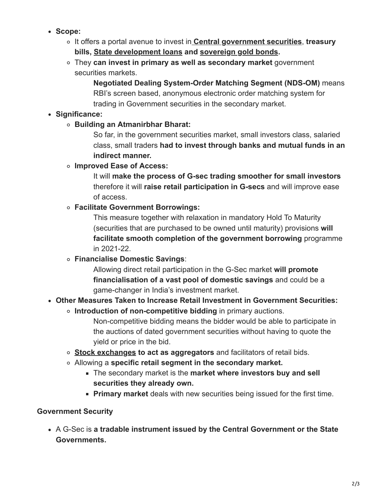- **Scope:**
	- It offers a portal avenue to invest in **[Central government securities](https://www.drishtiias.com/daily-updates/daily-news-analysis/g-sec-acquisition-programme-2-0)**, **treasury bills, [State development loans](https://www.drishtiias.com/daily-updates/daily-news-analysis/ways-and-means-advance) and [sovereign gold bonds.](https://www.drishtiias.com/daily-updates/daily-news-analysis/sovereign-gold-bond-scheme-2)**
	- They **can invest in primary as well as secondary market** government securities markets.

**Negotiated Dealing System-Order Matching Segment (NDS-OM)** means RBI's screen based, anonymous electronic order matching system for trading in Government securities in the secondary market.

## **Significance:**

**Building an Atmanirbhar Bharat:**

So far, in the government securities market, small investors class, salaried class, small traders **had to invest through banks and mutual funds in an indirect manner.**

**Improved Ease of Access:**

It will **make the process of G-sec trading smoother for small investors** therefore it will **raise retail participation in G-secs** and will improve ease of access.

**Facilitate Government Borrowings:**

This measure together with relaxation in mandatory Hold To Maturity (securities that are purchased to be owned until maturity) provisions **will facilitate smooth completion of the government borrowing** programme in 2021-22.

**Financialise Domestic Savings**:

Allowing direct retail participation in the G-Sec market **will promote financialisation of a vast pool of domestic savings** and could be a game-changer in India's investment market.

- **Other Measures Taken to Increase Retail Investment in Government Securities:**
	- **Introduction of non-competitive bidding** in primary auctions.

Non-competitive bidding means the bidder would be able to participate in the auctions of dated government securities without having to quote the yield or price in the bid.

- **[Stock exchanges](https://www.drishtiias.com/daily-updates/daily-news-analysis/market-infrastructure-institutions) to act as aggregators** and facilitators of retail bids.
- Allowing a **specific retail segment in the secondary market.**
	- The secondary market is the **market where investors buy and sell securities they already own.**
	- **Primary market** deals with new securities being issued for the first time.

#### **Government Security**

A G-Sec is **a tradable instrument issued by the Central Government or the State Governments.**